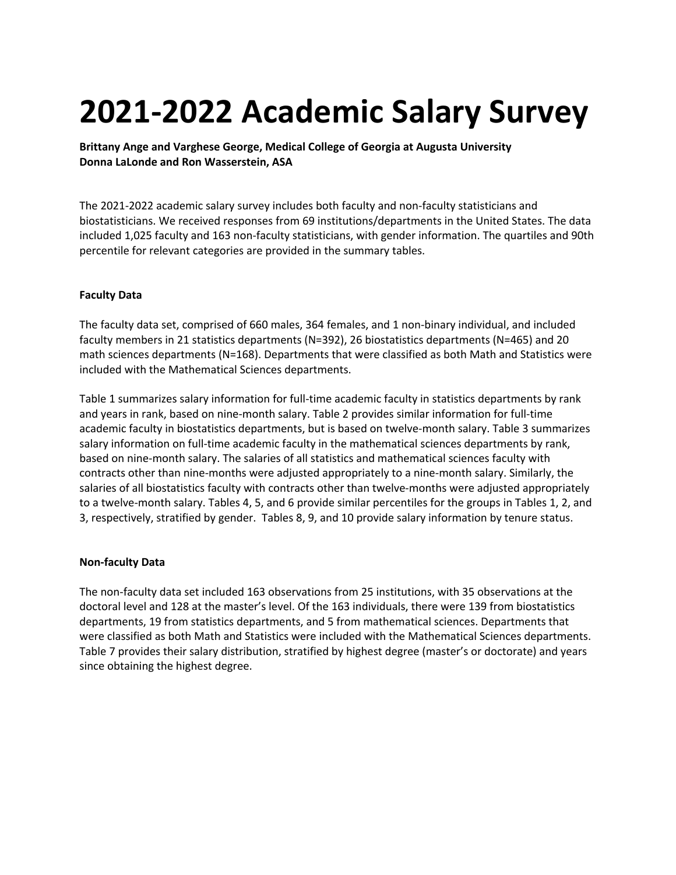# **2021-2022 Academic Salary Survey**

**Brittany Ange and Varghese George, Medical College of Georgia at Augusta University Donna LaLonde and Ron Wasserstein, ASA**

The 2021-2022 academic salary survey includes both faculty and non-faculty statisticians and biostatisticians. We received responses from 69 institutions/departments in the United States. The data included 1,025 faculty and 163 non-faculty statisticians, with gender information. The quartiles and 90th percentile for relevant categories are provided in the summary tables.

## **Faculty Data**

The faculty data set, comprised of 660 males, 364 females, and 1 non-binary individual, and included faculty members in 21 statistics departments (N=392), 26 biostatistics departments (N=465) and 20 math sciences departments (N=168). Departments that were classified as both Math and Statistics were included with the Mathematical Sciences departments.

Table 1 summarizes salary information for full-time academic faculty in statistics departments by rank and years in rank, based on nine-month salary. Table 2 provides similar information for full-time academic faculty in biostatistics departments, but is based on twelve-month salary. Table 3 summarizes salary information on full-time academic faculty in the mathematical sciences departments by rank, based on nine-month salary. The salaries of all statistics and mathematical sciences faculty with contracts other than nine-months were adjusted appropriately to a nine-month salary. Similarly, the salaries of all biostatistics faculty with contracts other than twelve-months were adjusted appropriately to a twelve-month salary. Tables 4, 5, and 6 provide similar percentiles for the groups in Tables 1, 2, and 3, respectively, stratified by gender. Tables 8, 9, and 10 provide salary information by tenure status.

## **Non-faculty Data**

The non-faculty data set included 163 observations from 25 institutions, with 35 observations at the doctoral level and 128 at the master's level. Of the 163 individuals, there were 139 from biostatistics departments, 19 from statistics departments, and 5 from mathematical sciences. Departments that were classified as both Math and Statistics were included with the Mathematical Sciences departments. Table 7 provides their salary distribution, stratified by highest degree (master's or doctorate) and years since obtaining the highest degree.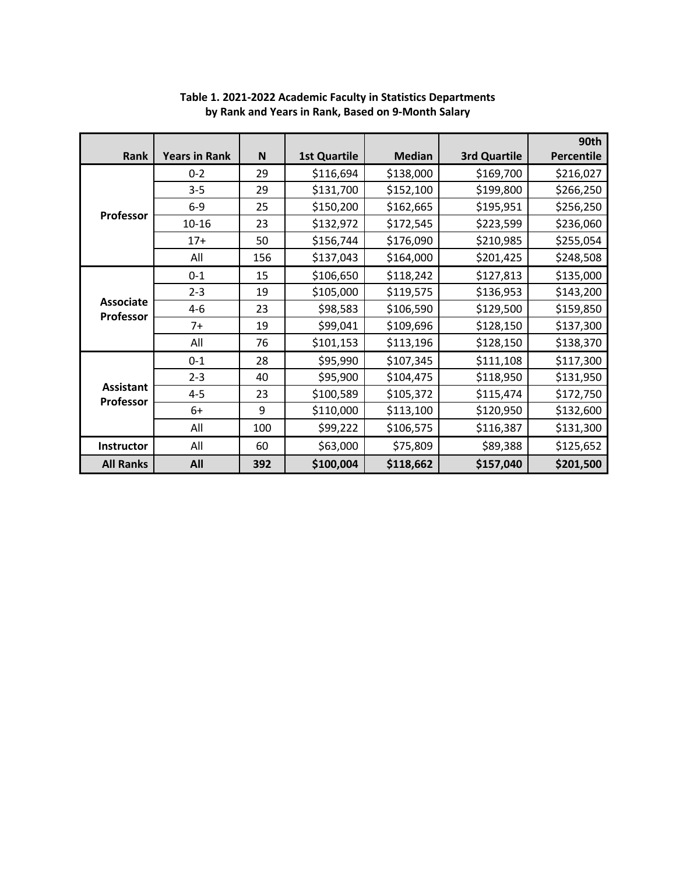|                               |                      |     |                     |               |                     | 90th              |
|-------------------------------|----------------------|-----|---------------------|---------------|---------------------|-------------------|
| Rank                          | <b>Years in Rank</b> | N   | <b>1st Quartile</b> | <b>Median</b> | <b>3rd Quartile</b> | <b>Percentile</b> |
|                               | $0 - 2$              | 29  | \$116,694           | \$138,000     | \$169,700           | \$216,027         |
|                               | $3 - 5$              | 29  | \$131,700           | \$152,100     | \$199,800           | \$266,250         |
|                               | $6-9$                | 25  | \$150,200           | \$162,665     | \$195,951           | \$256,250         |
| Professor                     | $10 - 16$            | 23  | \$132,972           | \$172,545     | \$223,599           | \$236,060         |
|                               | $17+$                | 50  | \$156,744           | \$176,090     | \$210,985           | \$255,054         |
|                               | All                  | 156 | \$137,043           | \$164,000     | \$201,425           | \$248,508         |
|                               | $0 - 1$              | 15  | \$106,650           | \$118,242     | \$127,813           | \$135,000         |
|                               | $2 - 3$              | 19  | \$105,000           | \$119,575     | \$136,953           | \$143,200         |
| <b>Associate</b><br>Professor | $4 - 6$              | 23  | \$98,583            | \$106,590     | \$129,500           | \$159,850         |
|                               | $7+$                 | 19  | \$99,041            | \$109,696     | \$128,150           | \$137,300         |
|                               | All                  | 76  | \$101,153           | \$113,196     | \$128,150           | \$138,370         |
|                               | $0 - 1$              | 28  | \$95,990            | \$107,345     | \$111,108           | \$117,300         |
|                               | $2 - 3$              | 40  | \$95,900            | \$104,475     | \$118,950           | \$131,950         |
| <b>Assistant</b><br>Professor | $4 - 5$              | 23  | \$100,589           | \$105,372     | \$115,474           | \$172,750         |
|                               | 6+                   | 9   | \$110,000           | \$113,100     | \$120,950           | \$132,600         |
|                               | All                  | 100 | \$99,222            | \$106,575     | \$116,387           | \$131,300         |
| Instructor                    | All                  | 60  | \$63,000            | \$75,809      | \$89,388            | \$125,652         |
| <b>All Ranks</b>              | All                  | 392 | \$100,004           | \$118,662     | \$157,040           | \$201,500         |

# **Table 1. 2021-2022 Academic Faculty in Statistics Departments by Rank and Years in Rank, Based on 9-Month Salary**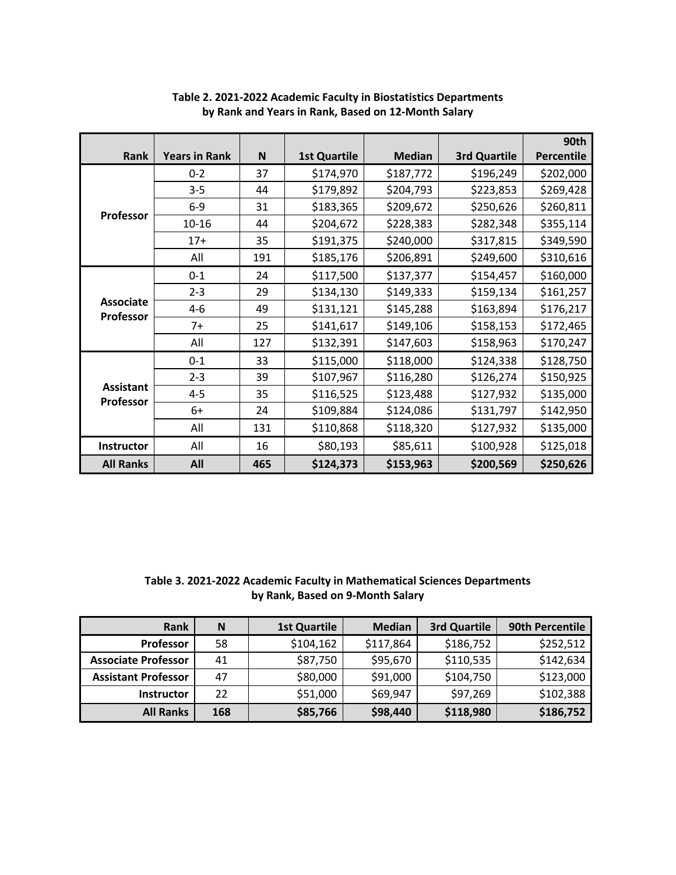|                               |                      |     |                     |               |                     | 90th              |
|-------------------------------|----------------------|-----|---------------------|---------------|---------------------|-------------------|
| Rank                          | <b>Years in Rank</b> | N   | <b>1st Quartile</b> | <b>Median</b> | <b>3rd Quartile</b> | <b>Percentile</b> |
|                               | $0 - 2$              | 37  | \$174,970           | \$187,772     | \$196,249           | \$202,000         |
|                               | $3 - 5$              | 44  | \$179,892           | \$204,793     | \$223,853           | \$269,428         |
|                               | $6-9$                | 31  | \$183,365           | \$209,672     | \$250,626           | \$260,811         |
| <b>Professor</b>              | $10 - 16$            | 44  | \$204,672           | \$228,383     | \$282,348           | \$355,114         |
|                               | $17+$                | 35  | \$191,375           | \$240,000     | \$317,815           | \$349,590         |
|                               | All                  | 191 | \$185,176           | \$206,891     | \$249,600           | \$310,616         |
|                               | $0 - 1$              | 24  | \$117,500           | \$137,377     | \$154,457           | \$160,000         |
|                               | $2 - 3$              | 29  | \$134,130           | \$149,333     | \$159,134           | \$161,257         |
| <b>Associate</b>              | $4 - 6$              | 49  | \$131,121           | \$145,288     | \$163,894           | \$176,217         |
| Professor                     | $7+$                 | 25  | \$141,617           | \$149,106     | \$158,153           | \$172,465         |
|                               | All                  | 127 | \$132,391           | \$147,603     | \$158,963           | \$170,247         |
|                               | $0 - 1$              | 33  | \$115,000           | \$118,000     | \$124,338           | \$128,750         |
|                               | $2 - 3$              | 39  | \$107,967           | \$116,280     | \$126,274           | \$150,925         |
| <b>Assistant</b><br>Professor | $4 - 5$              | 35  | \$116,525           | \$123,488     | \$127,932           | \$135,000         |
|                               | 6+                   | 24  | \$109,884           | \$124,086     | \$131,797           | \$142,950         |
|                               | All                  | 131 | \$110,868           | \$118,320     | \$127,932           | \$135,000         |
| Instructor                    | All                  | 16  | \$80,193            | \$85,611      | \$100,928           | \$125,018         |
| <b>All Ranks</b>              | All                  | 465 | \$124,373           | \$153,963     | \$200,569           | \$250,626         |

**Table 2. 2021-2022 Academic Faculty in Biostatistics Departments by Rank and Years in Rank, Based on 12-Month Salary**

**Table 3. 2021-2022 Academic Faculty in Mathematical Sciences Departments by Rank, Based on 9-Month Salary**

| <b>Rank</b>                | N   | <b>1st Quartile</b> | <b>Median</b> | <b>3rd Quartile</b> | 90th Percentile |
|----------------------------|-----|---------------------|---------------|---------------------|-----------------|
| <b>Professor</b>           | 58  | \$104,162           | \$117,864     | \$186,752           | \$252,512       |
| <b>Associate Professor</b> | 41  | \$87,750            | \$95,670      | \$110,535           | \$142,634       |
| <b>Assistant Professor</b> | 47  | \$80,000            | \$91,000      | \$104,750           | \$123,000       |
| <b>Instructor</b>          | 22  | \$51,000            | \$69,947      | \$97,269            | \$102,388       |
| <b>All Ranks</b>           | 168 | \$85,766            | \$98,440      | \$118,980           | \$186,752       |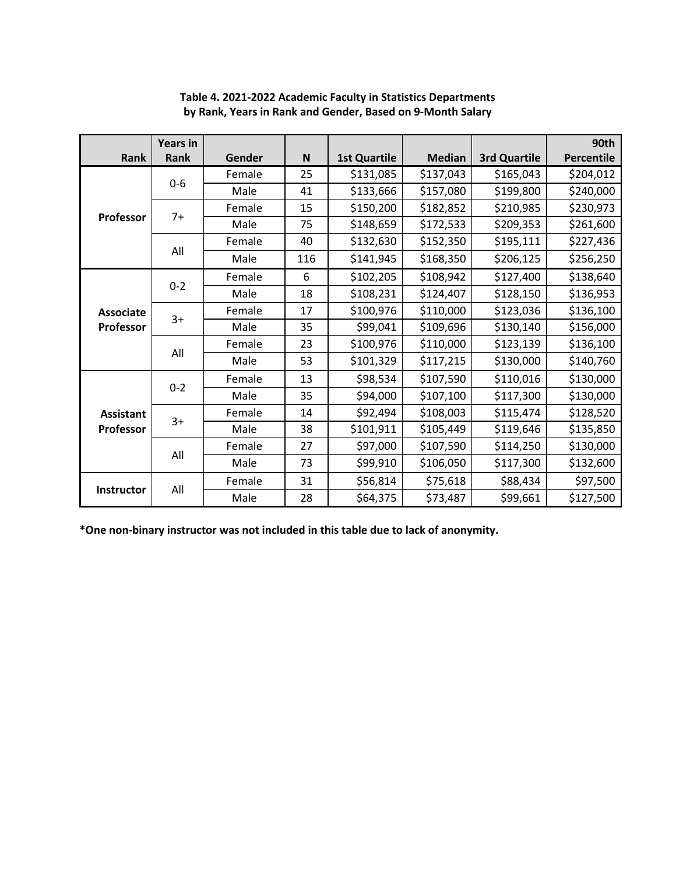|                   | <b>Years in</b> |        |     |                     |               |                     | 90th              |
|-------------------|-----------------|--------|-----|---------------------|---------------|---------------------|-------------------|
| Rank              | Rank            | Gender | N   | <b>1st Quartile</b> | <b>Median</b> | <b>3rd Quartile</b> | <b>Percentile</b> |
|                   | $0-6$           | Female | 25  | \$131,085           | \$137,043     | \$165,043           | \$204,012         |
|                   |                 | Male   | 41  | \$133,666           | \$157,080     | \$199,800           | \$240,000         |
|                   | $7+$            | Female | 15  | \$150,200           | \$182,852     | \$210,985           | \$230,973         |
| Professor         |                 | Male   | 75  | \$148,659           | \$172,533     | \$209,353           | \$261,600         |
|                   |                 | Female | 40  | \$132,630           | \$152,350     | \$195,111           | \$227,436         |
|                   | All             | Male   | 116 | \$141,945           | \$168,350     | \$206,125           | \$256,250         |
|                   |                 | Female | 6   | \$102,205           | \$108,942     | \$127,400           | \$138,640         |
|                   | $0 - 2$         | Male   | 18  | \$108,231           | \$124,407     | \$128,150           | \$136,953         |
| <b>Associate</b>  | $3+$            | Female | 17  | \$100,976           | \$110,000     | \$123,036           | \$136,100         |
| Professor         |                 | Male   | 35  | \$99,041            | \$109,696     | \$130,140           | \$156,000         |
|                   | All             | Female | 23  | \$100,976           | \$110,000     | \$123,139           | \$136,100         |
|                   |                 | Male   | 53  | \$101,329           | \$117,215     | \$130,000           | \$140,760         |
|                   |                 | Female | 13  | \$98,534            | \$107,590     | \$110,016           | \$130,000         |
|                   | $0 - 2$         | Male   | 35  | \$94,000            | \$107,100     | \$117,300           | \$130,000         |
| <b>Assistant</b>  | $3+$            | Female | 14  | \$92,494            | \$108,003     | \$115,474           | \$128,520         |
| Professor         |                 | Male   | 38  | \$101,911           | \$105,449     | \$119,646           | \$135,850         |
|                   | All             | Female | 27  | \$97,000            | \$107,590     | \$114,250           | \$130,000         |
|                   |                 | Male   | 73  | \$99,910            | \$106,050     | \$117,300           | \$132,600         |
|                   | All             | Female | 31  | \$56,814            | \$75,618      | \$88,434            | \$97,500          |
| <b>Instructor</b> |                 | Male   | 28  | \$64,375            | \$73,487      | \$99,661            | \$127,500         |

## **Table 4. 2021-2022 Academic Faculty in Statistics Departments by Rank, Years in Rank and Gender, Based on 9-Month Salary**

**\*One non-binary instructor was not included in this table due to lack of anonymity.**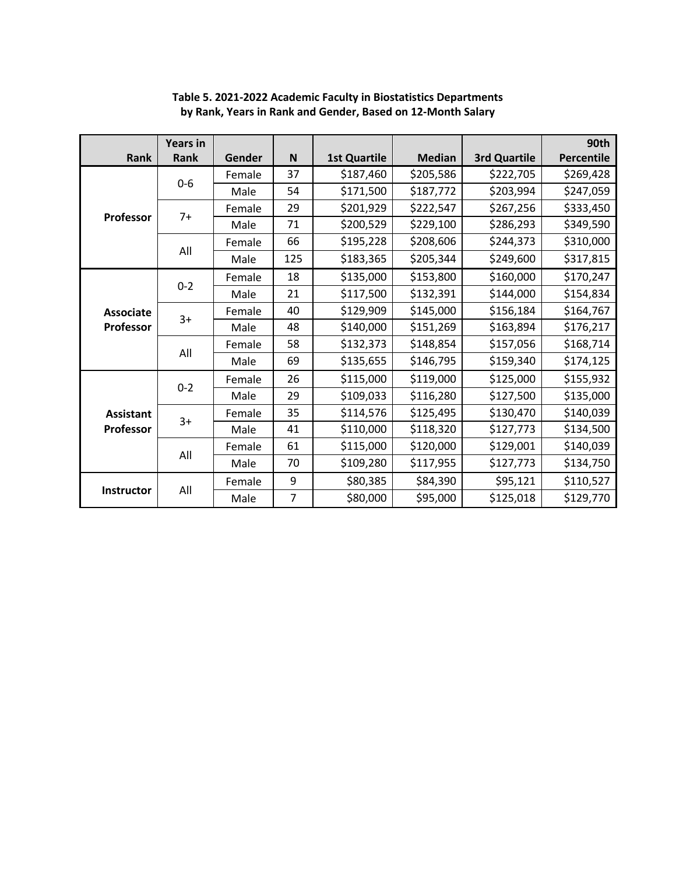|                   | <b>Years in</b> |        |                |                     |               |                     | 90th              |
|-------------------|-----------------|--------|----------------|---------------------|---------------|---------------------|-------------------|
| Rank              | Rank            | Gender | N              | <b>1st Quartile</b> | <b>Median</b> | <b>3rd Quartile</b> | <b>Percentile</b> |
|                   | $0-6$           | Female | 37             | \$187,460           | \$205,586     | \$222,705           | \$269,428         |
|                   |                 | Male   | 54             | \$171,500           | \$187,772     | \$203,994           | \$247,059         |
|                   | $7+$            | Female | 29             | \$201,929           | \$222,547     | \$267,256           | \$333,450         |
| <b>Professor</b>  |                 | Male   | 71             | \$200,529           | \$229,100     | \$286,293           | \$349,590         |
|                   |                 | Female | 66             | \$195,228           | \$208,606     | \$244,373           | \$310,000         |
|                   | All             | Male   | 125            | \$183,365           | \$205,344     | \$249,600           | \$317,815         |
|                   |                 | Female | 18             | \$135,000           | \$153,800     | \$160,000           | \$170,247         |
|                   | $0 - 2$         | Male   | 21             | \$117,500           | \$132,391     | \$144,000           | \$154,834         |
| <b>Associate</b>  | $3+$            | Female | 40             | \$129,909           | \$145,000     | \$156,184           | \$164,767         |
| <b>Professor</b>  |                 | Male   | 48             | \$140,000           | \$151,269     | \$163,894           | \$176,217         |
|                   | All             | Female | 58             | \$132,373           | \$148,854     | \$157,056           | \$168,714         |
|                   |                 | Male   | 69             | \$135,655           | \$146,795     | \$159,340           | \$174,125         |
|                   | $0 - 2$         | Female | 26             | \$115,000           | \$119,000     | \$125,000           | \$155,932         |
|                   |                 | Male   | 29             | \$109,033           | \$116,280     | \$127,500           | \$135,000         |
| <b>Assistant</b>  | $3+$            | Female | 35             | \$114,576           | \$125,495     | \$130,470           | \$140,039         |
| <b>Professor</b>  |                 | Male   | 41             | \$110,000           | \$118,320     | \$127,773           | \$134,500         |
|                   | All             | Female | 61             | \$115,000           | \$120,000     | \$129,001           | \$140,039         |
|                   |                 | Male   | 70             | \$109,280           | \$117,955     | \$127,773           | \$134,750         |
|                   |                 | Female | 9              | \$80,385            | \$84,390      | \$95,121            | \$110,527         |
| <b>Instructor</b> | All             | Male   | $\overline{7}$ | \$80,000            | \$95,000      | \$125,018           | \$129,770         |

**Table 5. 2021-2022 Academic Faculty in Biostatistics Departments by Rank, Years in Rank and Gender, Based on 12-Month Salary**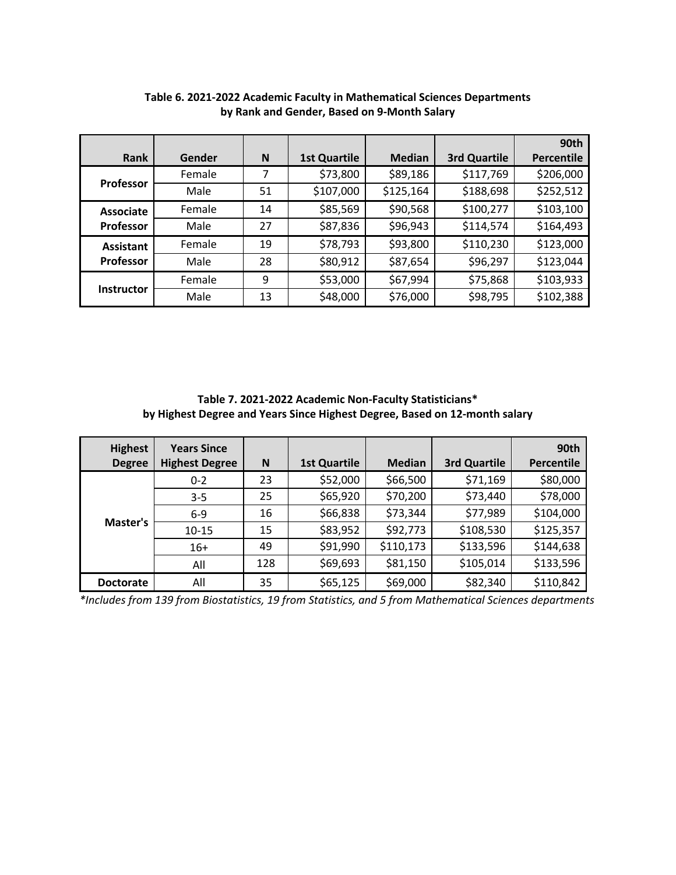|                   |        |    |                     |               |              | 90th              |
|-------------------|--------|----|---------------------|---------------|--------------|-------------------|
| Rank              | Gender | N  | <b>1st Quartile</b> | <b>Median</b> | 3rd Quartile | <b>Percentile</b> |
|                   | Female | 7  | \$73,800            | \$89,186      | \$117,769    | \$206,000         |
| <b>Professor</b>  | Male   | 51 | \$107,000           | \$125,164     | \$188,698    | \$252,512         |
| Associate         | Female | 14 | \$85,569            | \$90,568      | \$100,277    | \$103,100         |
| <b>Professor</b>  | Male   | 27 | \$87,836            | \$96,943      | \$114,574    | \$164,493         |
| <b>Assistant</b>  | Female | 19 | \$78,793            | \$93,800      | \$110,230    | \$123,000         |
| <b>Professor</b>  | Male   | 28 | \$80,912            | \$87,654      | \$96,297     | \$123,044         |
|                   | Female | 9  | \$53,000            | \$67,994      | \$75,868     | \$103,933         |
| <b>Instructor</b> | Male   | 13 | \$48,000            | \$76,000      | \$98,795     | \$102,388         |

**Table 6. 2021-2022 Academic Faculty in Mathematical Sciences Departments by Rank and Gender, Based on 9-Month Salary**

**Table 7. 2021-2022 Academic Non-Faculty Statisticians\* by Highest Degree and Years Since Highest Degree, Based on 12-month salary**

| <b>Highest</b><br><b>Degree</b> | <b>Years Since</b><br><b>Highest Degree</b> | N   | <b>1st Quartile</b> | <b>Median</b> | <b>3rd Quartile</b> | 90th<br><b>Percentile</b> |
|---------------------------------|---------------------------------------------|-----|---------------------|---------------|---------------------|---------------------------|
|                                 | $0 - 2$                                     | 23  | \$52,000            | \$66,500      | \$71,169            | \$80,000                  |
|                                 | $3 - 5$                                     | 25  | \$65,920            | \$70,200      | \$73,440            | \$78,000                  |
|                                 | $6-9$                                       | 16  | \$66,838            | \$73,344      | \$77,989            | \$104,000                 |
| Master's                        | $10 - 15$                                   | 15  | \$83,952            | \$92,773      | \$108,530           | \$125,357                 |
|                                 | $16+$                                       | 49  | \$91,990            | \$110,173     | \$133,596           | \$144,638                 |
|                                 | All                                         | 128 | \$69,693            | \$81,150      | \$105,014           | \$133,596                 |
| <b>Doctorate</b>                | All                                         | 35  | \$65,125            | \$69,000      | \$82,340            | \$110,842                 |

*\*Includes from 139 from Biostatistics, 19 from Statistics, and 5 from Mathematical Sciences departments*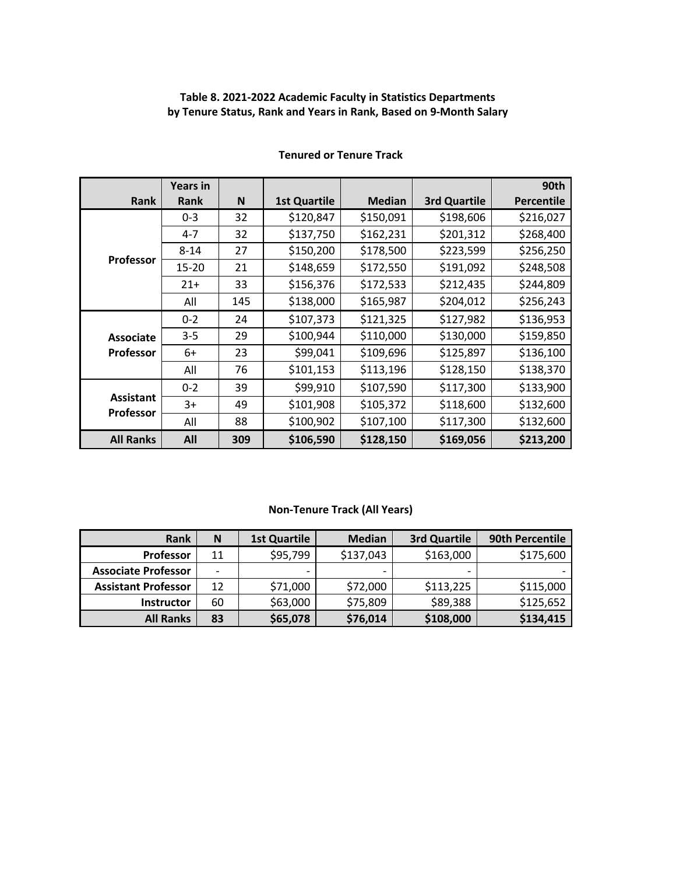## **Table 8. 2021-2022 Academic Faculty in Statistics Departments by Tenure Status, Rank and Years in Rank, Based on 9-Month Salary**

|                                      | <b>Years in</b> |     |                     |               |                     | 90th              |
|--------------------------------------|-----------------|-----|---------------------|---------------|---------------------|-------------------|
| <b>Rank</b>                          | <b>Rank</b>     | N   | <b>1st Quartile</b> | <b>Median</b> | <b>3rd Quartile</b> | <b>Percentile</b> |
|                                      | $0 - 3$         | 32  | \$120,847           | \$150,091     | \$198,606           | \$216,027         |
|                                      | $4 - 7$         | 32  | \$137,750           | \$162,231     | \$201,312           | \$268,400         |
|                                      | $8 - 14$        | 27  | \$150,200           | \$178,500     | \$223,599           | \$256,250         |
| <b>Professor</b>                     | 15-20           | 21  | \$148,659           | \$172,550     | \$191,092           | \$248,508         |
|                                      | $21+$           | 33  | \$156,376           | \$172,533     | \$212,435           | \$244,809         |
|                                      | All             | 145 | \$138,000           | \$165,987     | \$204,012           | \$256,243         |
|                                      | $0 - 2$         | 24  | \$107,373           | \$121,325     | \$127,982           | \$136,953         |
| <b>Associate</b>                     | $3 - 5$         | 29  | \$100,944           | \$110,000     | \$130,000           | \$159,850         |
| <b>Professor</b>                     | 6+              | 23  | \$99,041            | \$109,696     | \$125,897           | \$136,100         |
|                                      | All             | 76  | \$101,153           | \$113,196     | \$128,150           | \$138,370         |
|                                      | $0 - 2$         | 39  | \$99,910            | \$107,590     | \$117,300           | \$133,900         |
| <b>Assistant</b><br><b>Professor</b> | 3+              | 49  | \$101,908           | \$105,372     | \$118,600           | \$132,600         |
|                                      | All             | 88  | \$100,902           | \$107,100     | \$117,300           | \$132,600         |
| <b>All Ranks</b>                     | All             | 309 | \$106,590           | \$128,150     | \$169,056           | \$213,200         |

## **Tenured or Tenure Track**

## **Non-Tenure Track (All Years)**

| Rank                       | N                        | <b>1st Quartile</b> | <b>Median</b>            | 3rd Quartile | 90th Percentile |
|----------------------------|--------------------------|---------------------|--------------------------|--------------|-----------------|
| Professor                  | 11                       | \$95,799            | \$137,043                | \$163,000    | \$175,600       |
| <b>Associate Professor</b> | $\overline{\phantom{0}}$ |                     | $\overline{\phantom{0}}$ | -            |                 |
| <b>Assistant Professor</b> | 12                       | \$71,000            | \$72,000                 | \$113,225    | \$115,000       |
| <b>Instructor</b>          | 60                       | \$63,000            | \$75,809                 | \$89,388     | \$125,652       |
| <b>All Ranks</b>           | 83                       | \$65,078            | \$76,014                 | \$108,000    | \$134,415       |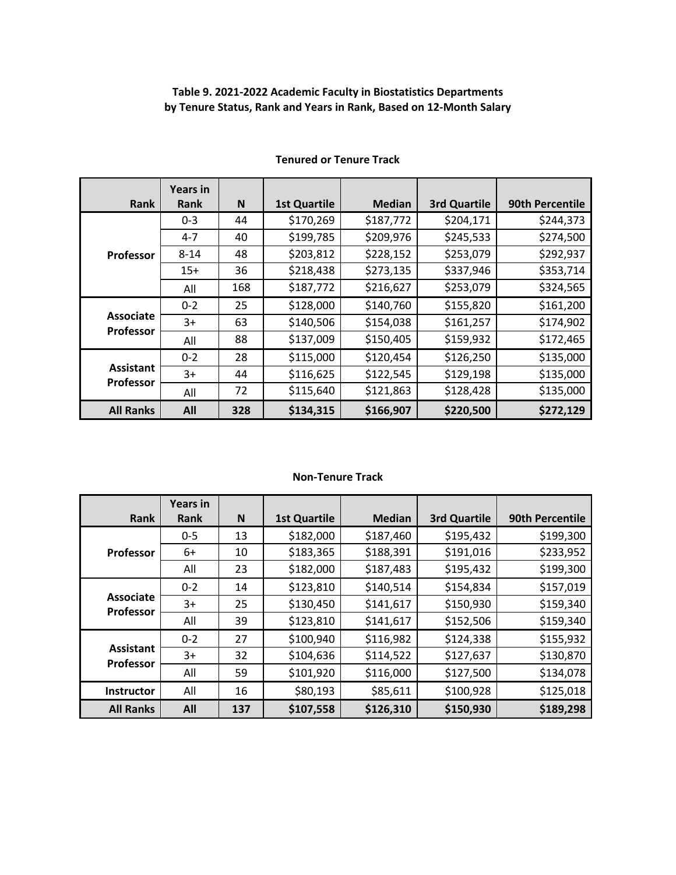# **Table 9. 2021-2022 Academic Faculty in Biostatistics Departments by Tenure Status, Rank and Years in Rank, Based on 12-Month Salary**

| <b>Rank</b>                          | <b>Years in</b><br>Rank | N   | <b>1st Quartile</b> | <b>Median</b> | <b>3rd Quartile</b> | 90th Percentile |
|--------------------------------------|-------------------------|-----|---------------------|---------------|---------------------|-----------------|
|                                      | $0 - 3$                 | 44  | \$170,269           | \$187,772     | \$204,171           | \$244,373       |
|                                      | $4 - 7$                 | 40  | \$199,785           | \$209,976     | \$245,533           | \$274,500       |
| <b>Professor</b>                     | $8 - 14$                | 48  | \$203,812           | \$228,152     | \$253,079           | \$292,937       |
|                                      | $15+$                   | 36  | \$218,438           | \$273,135     | \$337,946           | \$353,714       |
|                                      | All                     | 168 | \$187,772           | \$216,627     | \$253,079           | \$324,565       |
|                                      | $0 - 2$                 | 25  | \$128,000           | \$140,760     | \$155,820           | \$161,200       |
| <b>Associate</b><br><b>Professor</b> | 3+                      | 63  | \$140,506           | \$154,038     | \$161,257           | \$174,902       |
|                                      | All                     | 88  | \$137,009           | \$150,405     | \$159,932           | \$172,465       |
|                                      | $0 - 2$                 | 28  | \$115,000           | \$120,454     | \$126,250           | \$135,000       |
| <b>Assistant</b>                     | $3+$                    | 44  | \$116,625           | \$122,545     | \$129,198           | \$135,000       |
| Professor                            | All                     | 72  | \$115,640           | \$121,863     | \$128,428           | \$135,000       |
| <b>All Ranks</b>                     | All                     | 328 | \$134,315           | \$166,907     | \$220,500           | \$272,129       |

## **Tenured or Tenure Track**

#### **Non-Tenure Track**

|                                      | <b>Years in</b> |     |                     |               |                     |                        |
|--------------------------------------|-----------------|-----|---------------------|---------------|---------------------|------------------------|
| Rank                                 | <b>Rank</b>     | N   | <b>1st Quartile</b> | <b>Median</b> | <b>3rd Quartile</b> | <b>90th Percentile</b> |
|                                      | $0 - 5$         | 13  | \$182,000           | \$187,460     | \$195,432           | \$199,300              |
| <b>Professor</b>                     | 6+              | 10  | \$183,365           | \$188,391     | \$191,016           | \$233,952              |
|                                      | All             | 23  | \$182,000           | \$187,483     | \$195,432           | \$199,300              |
|                                      | $0 - 2$         | 14  | \$123,810           | \$140,514     | \$154,834           | \$157,019              |
| <b>Associate</b><br><b>Professor</b> | 3+              | 25  | \$130,450           | \$141,617     | \$150,930           | \$159,340              |
|                                      | All             | 39  | \$123,810           | \$141,617     | \$152,506           | \$159,340              |
|                                      | $0 - 2$         | 27  | \$100,940           | \$116,982     | \$124,338           | \$155,932              |
| <b>Assistant</b><br><b>Professor</b> | 3+              | 32  | \$104,636           | \$114,522     | \$127,637           | \$130,870              |
|                                      | All             | 59  | \$101,920           | \$116,000     | \$127,500           | \$134,078              |
| <b>Instructor</b>                    | All             | 16  | \$80,193            | \$85,611      | \$100,928           | \$125,018              |
| <b>All Ranks</b>                     | All             | 137 | \$107,558           | \$126,310     | \$150,930           | \$189,298              |